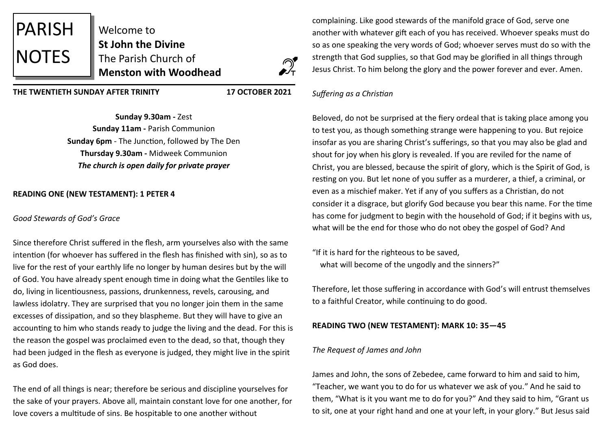

Welcome to **St John the Divine**  The Parish Church of **Menston with Woodhead**



**THE TWENTIETH SUNDAY AFTER TRINITY 17 OCTOBER 2021**

**Sunday 9.30am -** Zest **Sunday 11am -** Parish Communion **Sunday 6pm** - The Junction, followed by The Den **Thursday 9.30am -** Midweek Communion *The church is open daily for private prayer*

# **READING ONE (NEW TESTAMENT): 1 PETER 4**

#### *Good Stewards of God's Grace*

Since therefore Christ suffered in the flesh, arm yourselves also with the same intention (for whoever has suffered in the flesh has finished with sin), so as to live for the rest of your earthly life no longer by human desires but by the will of God. You have already spent enough time in doing what the Gentiles like to do, living in licentiousness, passions, drunkenness, revels, carousing, and lawless idolatry. They are surprised that you no longer join them in the same excesses of dissipation, and so they blaspheme. But they will have to give an accounting to him who stands ready to judge the living and the dead. For this is the reason the gospel was proclaimed even to the dead, so that, though they had been judged in the flesh as everyone is judged, they might live in the spirit as God does.

The end of all things is near; therefore be serious and discipline yourselves for the sake of your prayers. Above all, maintain constant love for one another, for love covers a multitude of sins. Be hospitable to one another without

complaining. Like good stewards of the manifold grace of God, serve one another with whatever gift each of you has received. Whoever speaks must do so as one speaking the very words of God; whoever serves must do so with the strength that God supplies, so that God may be glorified in all things through Jesus Christ. To him belong the glory and the power forever and ever. Amen.

## *Suffering as a Christian*

Beloved, do not be surprised at the fiery ordeal that is taking place among you to test you, as though something strange were happening to you. But rejoice insofar as you are sharing Christ's sufferings, so that you may also be glad and shout for joy when his glory is revealed. If you are reviled for the name of Christ, you are blessed, because the spirit of glory, which is the Spirit of God, is resting on you. But let none of you suffer as a murderer, a thief, a criminal, or even as a mischief maker. Yet if any of you suffers as a Christian, do not consider it a disgrace, but glorify God because you bear this name. For the time has come for judgment to begin with the household of God; if it begins with us, what will be the end for those who do not obey the gospel of God? And

"If it is hard for the righteous to be saved, what will become of the ungodly and the sinners?"

Therefore, let those suffering in accordance with God's will entrust themselves to a faithful Creator, while continuing to do good.

## **READING TWO (NEW TESTAMENT): MARK 10: 35—45**

#### *The Request of James and John*

James and John, the sons of Zebedee, came forward to him and said to him, "Teacher, we want you to do for us whatever we ask of you." And he said to them, "What is it you want me to do for you?" And they said to him, "Grant us to sit, one at your right hand and one at your left, in your glory." But Jesus said